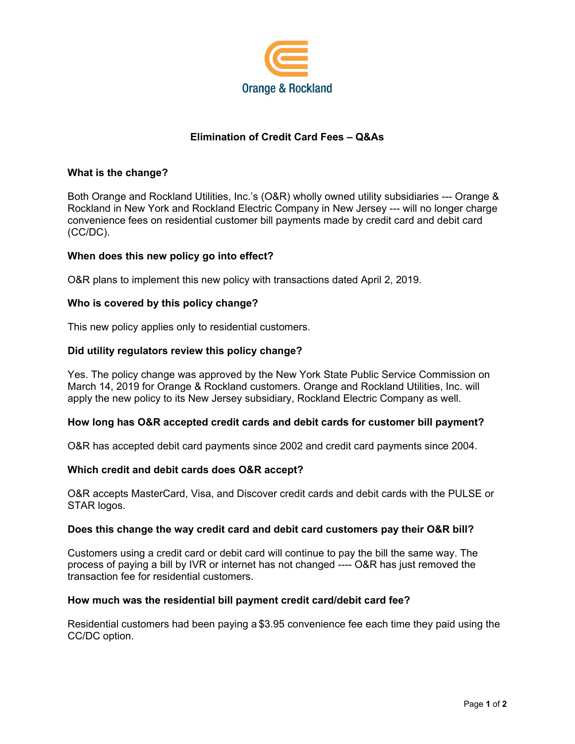

# **Elimination of Credit Card Fees – Q&As**

## **What is the change?**

Both Orange and Rockland Utilities, Inc.'s (O&R) wholly owned utility subsidiaries --- Orange & Rockland in New York and Rockland Electric Company in New Jersey --- will no longer charge convenience fees on residential customer bill payments made by credit card and debit card (CC/DC).

### **When does this new policy go into effect?**

O&R plans to implement this new policy with transactions dated April 2, 2019.

### **Who is covered by this policy change?**

This new policy applies only to residential customers.

### **Did utility regulators review this policy change?**

Yes. The policy change was approved by the New York State Public Service Commission on March 14, 2019 for Orange & Rockland customers. Orange and Rockland Utilities, Inc. will apply the new policy to its New Jersey subsidiary, Rockland Electric Company as well.

### **How long has O&R accepted credit cards and debit cards for customer bill payment?**

O&R has accepted debit card payments since 2002 and credit card payments since 2004.

#### **Which credit and debit cards does O&R accept?**

O&R accepts MasterCard, Visa, and Discover credit cards and debit cards with the PULSE or STAR logos.

#### **Does this change the way credit card and debit card customers pay their O&R bill?**

Customers using a credit card or debit card will continue to pay the bill the same way. The process of paying a bill by IVR or internet has not changed ---- O&R has just removed the transaction fee for residential customers.

#### **How much was the residential bill payment credit card/debit card fee?**

Residential customers had been paying a \$3.95 convenience fee each time they paid using the CC/DC option.